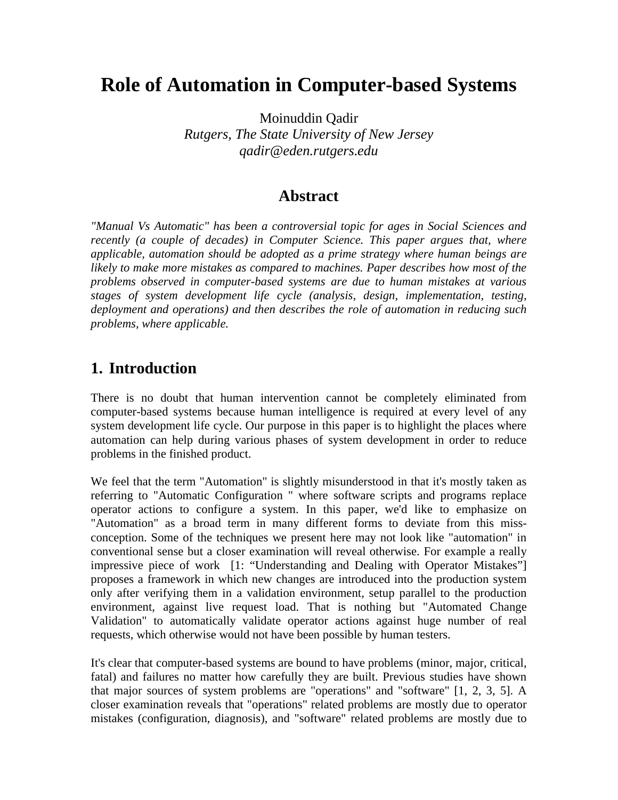# **Role of Automation in Computer-based Systems**

Moinuddin Qadir *Rutgers, The State University of New Jersey qadir@eden.rutgers.edu*

## **Abstract**

*"Manual Vs Automatic" has been a controversial topic for ages in Social Sciences and recently (a couple of decades) in Computer Science. This paper argues that, where applicable, automation should be adopted as a prime strategy where human beings are likely to make more mistakes as compared to machines. Paper describes how most of the problems observed in computer-based systems are due to human mistakes at various stages of system development life cycle (analysis, design, implementation, testing, deployment and operations) and then describes the role of automation in reducing such problems, where applicable.*

## **1. Introduction**

There is no doubt that human intervention cannot be completely eliminated from computer-based systems because human intelligence is required at every level of any system development life cycle. Our purpose in this paper is to highlight the places where automation can help during various phases of system development in order to reduce problems in the finished product.

We feel that the term "Automation" is slightly misunderstood in that it's mostly taken as referring to "Automatic Configuration " where software scripts and programs replace operator actions to configure a system. In this paper, we'd like to emphasize on "Automation" as a broad term in many different forms to deviate from this missconception. Some of the techniques we present here may not look like "automation" in conventional sense but a closer examination will reveal otherwise. For example a really impressive piece of work [1: "Understanding and Dealing with Operator Mistakes"] proposes a framework in which new changes are introduced into the production system only after verifying them in a validation environment, setup parallel to the production environment, against live request load. That is nothing but "Automated Change Validation" to automatically validate operator actions against huge number of real requests, which otherwise would not have been possible by human testers.

It's clear that computer-based systems are bound to have problems (minor, major, critical, fatal) and failures no matter how carefully they are built. Previous studies have shown that major sources of system problems are "operations" and "software" [1, 2, 3, 5]. A closer examination reveals that "operations" related problems are mostly due to operator mistakes (configuration, diagnosis), and "software" related problems are mostly due to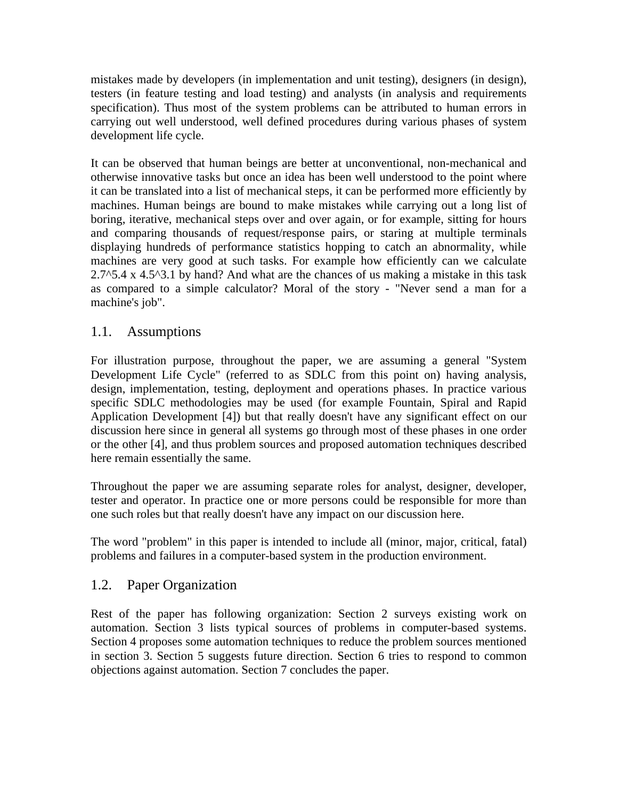mistakes made by developers (in implementation and unit testing), designers (in design), testers (in feature testing and load testing) and analysts (in analysis and requirements specification). Thus most of the system problems can be attributed to human errors in carrying out well understood, well defined procedures during various phases of system development life cycle.

It can be observed that human beings are better at unconventional, non-mechanical and otherwise innovative tasks but once an idea has been well understood to the point where it can be translated into a list of mechanical steps, it can be performed more efficiently by machines. Human beings are bound to make mistakes while carrying out a long list of boring, iterative, mechanical steps over and over again, or for example, sitting for hours and comparing thousands of request/response pairs, or staring at multiple terminals displaying hundreds of performance statistics hopping to catch an abnormality, while machines are very good at such tasks. For example how efficiently can we calculate  $2.7^{\circ}5.4$  x 4.5 $^{\circ}3.1$  by hand? And what are the chances of us making a mistake in this task as compared to a simple calculator? Moral of the story - "Never send a man for a machine's job".

## 1.1. Assumptions

For illustration purpose, throughout the paper, we are assuming a general "System Development Life Cycle" (referred to as SDLC from this point on) having analysis, design, implementation, testing, deployment and operations phases. In practice various specific SDLC methodologies may be used (for example Fountain, Spiral and Rapid Application Development [4]) but that really doesn't have any significant effect on our discussion here since in general all systems go through most of these phases in one order or the other [4], and thus problem sources and proposed automation techniques described here remain essentially the same.

Throughout the paper we are assuming separate roles for analyst, designer, developer, tester and operator. In practice one or more persons could be responsible for more than one such roles but that really doesn't have any impact on our discussion here.

The word "problem" in this paper is intended to include all (minor, major, critical, fatal) problems and failures in a computer-based system in the production environment.

## 1.2. Paper Organization

Rest of the paper has following organization: Section 2 surveys existing work on automation. Section 3 lists typical sources of problems in computer-based systems. Section 4 proposes some automation techniques to reduce the problem sources mentioned in section 3. Section 5 suggests future direction. Section 6 tries to respond to common objections against automation. Section 7 concludes the paper.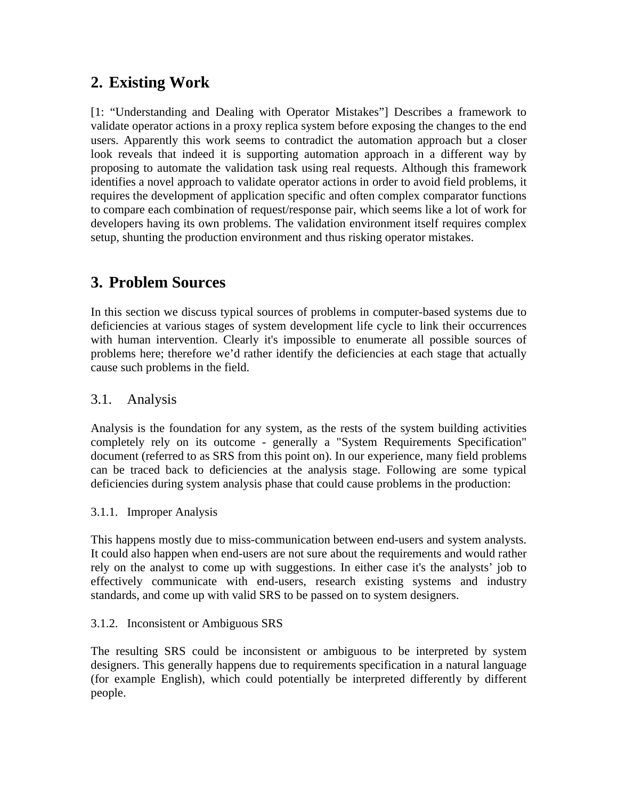## **2. Existing Work**

[1: "Understanding and Dealing with Operator Mistakes"] Describes a framework to validate operator actions in a proxy replica system before exposing the changes to the end users. Apparently this work seems to contradict the automation approach but a closer look reveals that indeed it is supporting automation approach in a different way by proposing to automate the validation task using real requests. Although this framework identifies a novel approach to validate operator actions in order to avoid field problems, it requires the development of application specific and often complex comparator functions to compare each combination of request/response pair, which seems like a lot of work for developers having its own problems. The validation environment itself requires complex setup, shunting the production environment and thus risking operator mistakes.

## **3. Problem Sources**

In this section we discuss typical sources of problems in computer-based systems due to deficiencies at various stages of system development life cycle to link their occurrences with human intervention. Clearly it's impossible to enumerate all possible sources of problems here; therefore we'd rather identify the deficiencies at each stage that actually cause such problems in the field.

## 3.1. Analysis

Analysis is the foundation for any system, as the rests of the system building activities completely rely on its outcome - generally a "System Requirements Specification" document (referred to as SRS from this point on). In our experience, many field problems can be traced back to deficiencies at the analysis stage. Following are some typical deficiencies during system analysis phase that could cause problems in the production:

#### 3.1.1. Improper Analysis

This happens mostly due to miss-communication between end-users and system analysts. It could also happen when end-users are not sure about the requirements and would rather rely on the analyst to come up with suggestions. In either case it's the analysts' job to effectively communicate with end-users, research existing systems and industry standards, and come up with valid SRS to be passed on to system designers.

#### 3.1.2. Inconsistent or Ambiguous SRS

The resulting SRS could be inconsistent or ambiguous to be interpreted by system designers. This generally happens due to requirements specification in a natural language (for example English), which could potentially be interpreted differently by different people.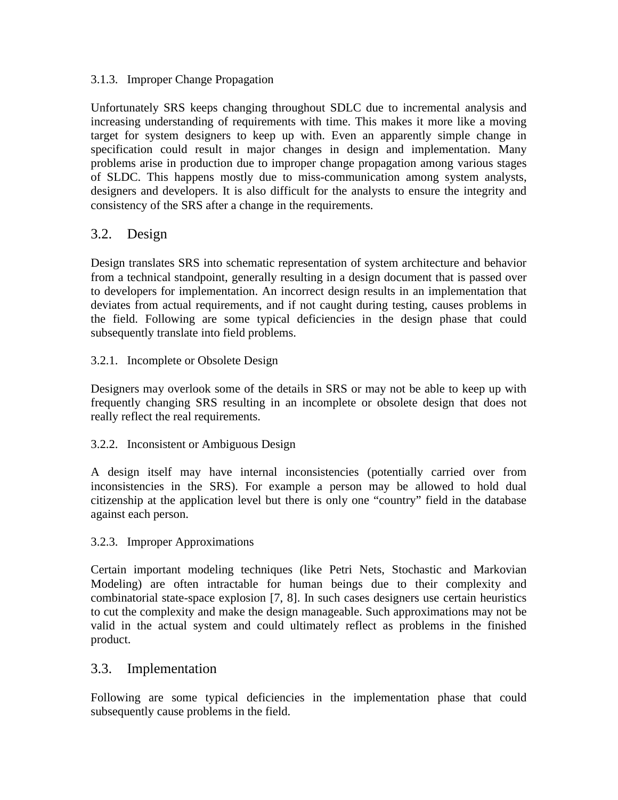#### 3.1.3. Improper Change Propagation

Unfortunately SRS keeps changing throughout SDLC due to incremental analysis and increasing understanding of requirements with time. This makes it more like a moving target for system designers to keep up with. Even an apparently simple change in specification could result in major changes in design and implementation. Many problems arise in production due to improper change propagation among various stages of SLDC. This happens mostly due to miss-communication among system analysts, designers and developers. It is also difficult for the analysts to ensure the integrity and consistency of the SRS after a change in the requirements.

## 3.2. Design

Design translates SRS into schematic representation of system architecture and behavior from a technical standpoint, generally resulting in a design document that is passed over to developers for implementation. An incorrect design results in an implementation that deviates from actual requirements, and if not caught during testing, causes problems in the field. Following are some typical deficiencies in the design phase that could subsequently translate into field problems.

#### 3.2.1. Incomplete or Obsolete Design

Designers may overlook some of the details in SRS or may not be able to keep up with frequently changing SRS resulting in an incomplete or obsolete design that does not really reflect the real requirements.

#### 3.2.2. Inconsistent or Ambiguous Design

A design itself may have internal inconsistencies (potentially carried over from inconsistencies in the SRS). For example a person may be allowed to hold dual citizenship at the application level but there is only one "country" field in the database against each person.

#### 3.2.3. Improper Approximations

Certain important modeling techniques (like Petri Nets, Stochastic and Markovian Modeling) are often intractable for human beings due to their complexity and combinatorial state-space explosion [7, 8]. In such cases designers use certain heuristics to cut the complexity and make the design manageable. Such approximations may not be valid in the actual system and could ultimately reflect as problems in the finished product.

#### 3.3. Implementation

Following are some typical deficiencies in the implementation phase that could subsequently cause problems in the field.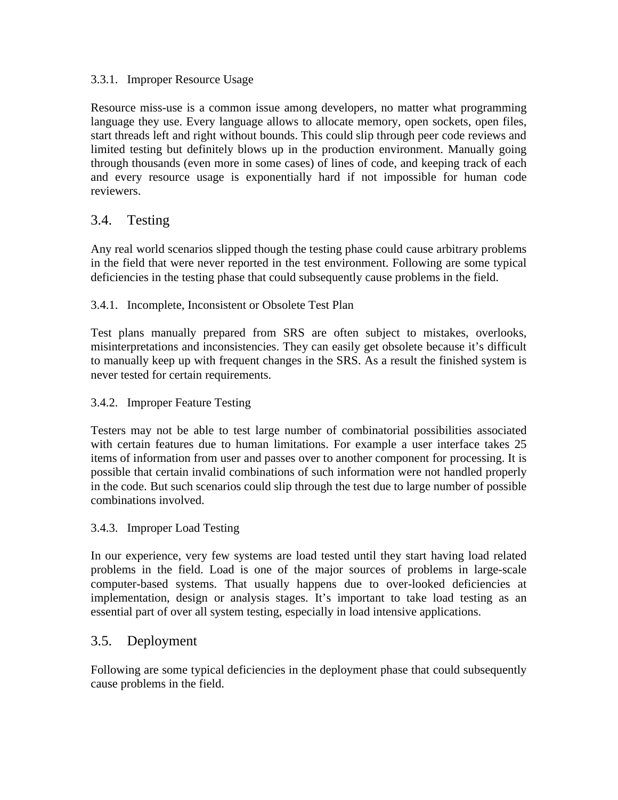#### 3.3.1. Improper Resource Usage

Resource miss-use is a common issue among developers, no matter what programming language they use. Every language allows to allocate memory, open sockets, open files, start threads left and right without bounds. This could slip through peer code reviews and limited testing but definitely blows up in the production environment. Manually going through thousands (even more in some cases) of lines of code, and keeping track of each and every resource usage is exponentially hard if not impossible for human code reviewers.

## 3.4. Testing

Any real world scenarios slipped though the testing phase could cause arbitrary problems in the field that were never reported in the test environment. Following are some typical deficiencies in the testing phase that could subsequently cause problems in the field.

#### 3.4.1. Incomplete, Inconsistent or Obsolete Test Plan

Test plans manually prepared from SRS are often subject to mistakes, overlooks, misinterpretations and inconsistencies. They can easily get obsolete because it's difficult to manually keep up with frequent changes in the SRS. As a result the finished system is never tested for certain requirements.

#### 3.4.2. Improper Feature Testing

Testers may not be able to test large number of combinatorial possibilities associated with certain features due to human limitations. For example a user interface takes 25 items of information from user and passes over to another component for processing. It is possible that certain invalid combinations of such information were not handled properly in the code. But such scenarios could slip through the test due to large number of possible combinations involved.

#### 3.4.3. Improper Load Testing

In our experience, very few systems are load tested until they start having load related problems in the field. Load is one of the major sources of problems in large-scale computer-based systems. That usually happens due to over-looked deficiencies at implementation, design or analysis stages. It's important to take load testing as an essential part of over all system testing, especially in load intensive applications.

## 3.5. Deployment

Following are some typical deficiencies in the deployment phase that could subsequently cause problems in the field.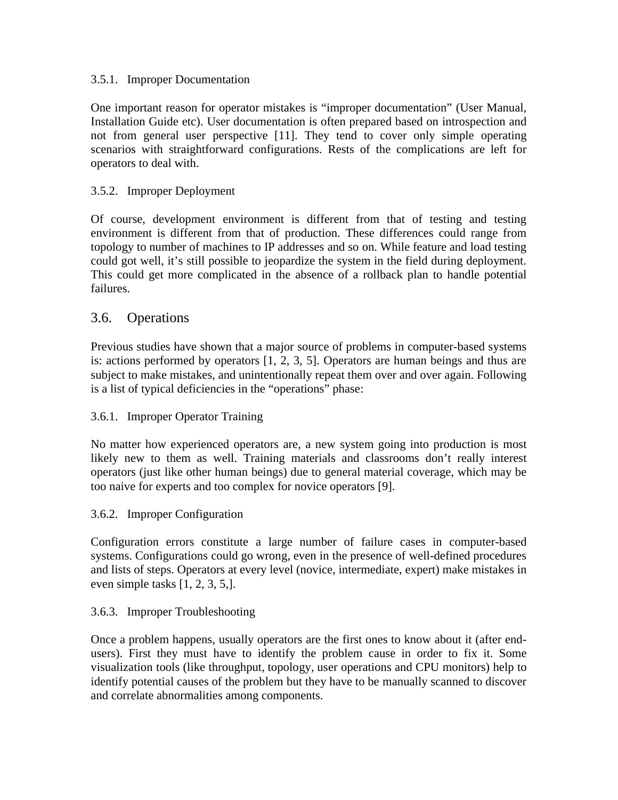#### 3.5.1. Improper Documentation

One important reason for operator mistakes is "improper documentation" (User Manual, Installation Guide etc). User documentation is often prepared based on introspection and not from general user perspective [11]. They tend to cover only simple operating scenarios with straightforward configurations. Rests of the complications are left for operators to deal with.

#### 3.5.2. Improper Deployment

Of course, development environment is different from that of testing and testing environment is different from that of production. These differences could range from topology to number of machines to IP addresses and so on. While feature and load testing could got well, it's still possible to jeopardize the system in the field during deployment. This could get more complicated in the absence of a rollback plan to handle potential failures.

#### 3.6. Operations

Previous studies have shown that a major source of problems in computer-based systems is: actions performed by operators [1, 2, 3, 5]. Operators are human beings and thus are subject to make mistakes, and unintentionally repeat them over and over again. Following is a list of typical deficiencies in the "operations" phase:

#### 3.6.1. Improper Operator Training

No matter how experienced operators are, a new system going into production is most likely new to them as well. Training materials and classrooms don't really interest operators (just like other human beings) due to general material coverage, which may be too naive for experts and too complex for novice operators [9].

#### 3.6.2. Improper Configuration

Configuration errors constitute a large number of failure cases in computer-based systems. Configurations could go wrong, even in the presence of well-defined procedures and lists of steps. Operators at every level (novice, intermediate, expert) make mistakes in even simple tasks [1, 2, 3, 5,].

#### 3.6.3. Improper Troubleshooting

Once a problem happens, usually operators are the first ones to know about it (after endusers). First they must have to identify the problem cause in order to fix it. Some visualization tools (like throughput, topology, user operations and CPU monitors) help to identify potential causes of the problem but they have to be manually scanned to discover and correlate abnormalities among components.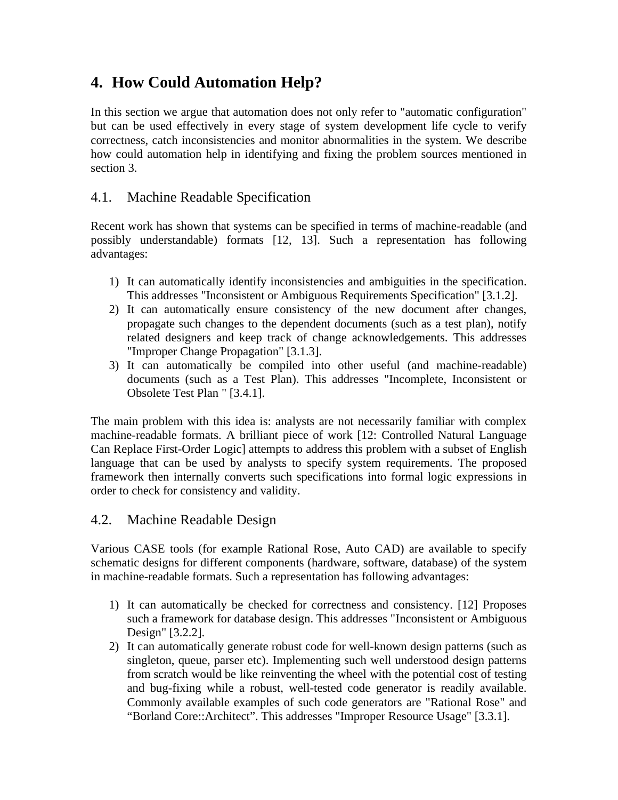## **4. How Could Automation Help?**

In this section we argue that automation does not only refer to "automatic configuration" but can be used effectively in every stage of system development life cycle to verify correctness, catch inconsistencies and monitor abnormalities in the system. We describe how could automation help in identifying and fixing the problem sources mentioned in section 3.

## 4.1. Machine Readable Specification

Recent work has shown that systems can be specified in terms of machine-readable (and possibly understandable) formats [12, 13]. Such a representation has following advantages:

- 1) It can automatically identify inconsistencies and ambiguities in the specification. This addresses "Inconsistent or Ambiguous Requirements Specification" [3.1.2].
- 2) It can automatically ensure consistency of the new document after changes, propagate such changes to the dependent documents (such as a test plan), notify related designers and keep track of change acknowledgements. This addresses "Improper Change Propagation" [3.1.3].
- 3) It can automatically be compiled into other useful (and machine-readable) documents (such as a Test Plan). This addresses "Incomplete, Inconsistent or Obsolete Test Plan " [3.4.1].

The main problem with this idea is: analysts are not necessarily familiar with complex machine-readable formats. A brilliant piece of work [12: Controlled Natural Language Can Replace First-Order Logic] attempts to address this problem with a subset of English language that can be used by analysts to specify system requirements. The proposed framework then internally converts such specifications into formal logic expressions in order to check for consistency and validity.

## 4.2. Machine Readable Design

Various CASE tools (for example Rational Rose, Auto CAD) are available to specify schematic designs for different components (hardware, software, database) of the system in machine-readable formats. Such a representation has following advantages:

- 1) It can automatically be checked for correctness and consistency. [12] Proposes such a framework for database design. This addresses "Inconsistent or Ambiguous Design" [3.2.2].
- 2) It can automatically generate robust code for well-known design patterns (such as singleton, queue, parser etc). Implementing such well understood design patterns from scratch would be like reinventing the wheel with the potential cost of testing and bug-fixing while a robust, well-tested code generator is readily available. Commonly available examples of such code generators are "Rational Rose" and "Borland Core::Architect". This addresses "Improper Resource Usage" [3.3.1].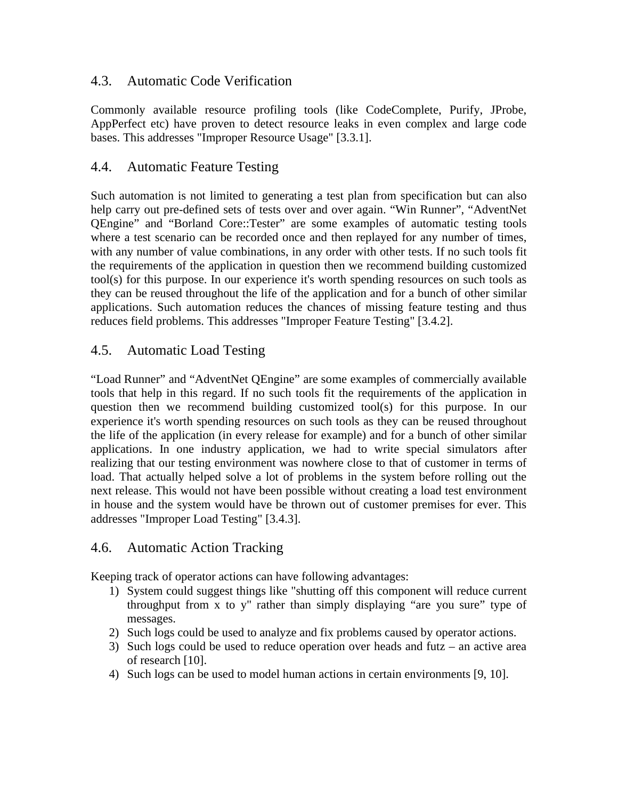## 4.3. Automatic Code Verification

Commonly available resource profiling tools (like CodeComplete, Purify, JProbe, AppPerfect etc) have proven to detect resource leaks in even complex and large code bases. This addresses "Improper Resource Usage" [3.3.1].

## 4.4. Automatic Feature Testing

Such automation is not limited to generating a test plan from specification but can also help carry out pre-defined sets of tests over and over again. "Win Runner", "AdventNet QEngine" and "Borland Core::Tester" are some examples of automatic testing tools where a test scenario can be recorded once and then replayed for any number of times, with any number of value combinations, in any order with other tests. If no such tools fit the requirements of the application in question then we recommend building customized tool(s) for this purpose. In our experience it's worth spending resources on such tools as they can be reused throughout the life of the application and for a bunch of other similar applications. Such automation reduces the chances of missing feature testing and thus reduces field problems. This addresses "Improper Feature Testing" [3.4.2].

## 4.5. Automatic Load Testing

"Load Runner" and "AdventNet QEngine" are some examples of commercially available tools that help in this regard. If no such tools fit the requirements of the application in question then we recommend building customized tool(s) for this purpose. In our experience it's worth spending resources on such tools as they can be reused throughout the life of the application (in every release for example) and for a bunch of other similar applications. In one industry application, we had to write special simulators after realizing that our testing environment was nowhere close to that of customer in terms of load. That actually helped solve a lot of problems in the system before rolling out the next release. This would not have been possible without creating a load test environment in house and the system would have be thrown out of customer premises for ever. This addresses "Improper Load Testing" [3.4.3].

## 4.6. Automatic Action Tracking

Keeping track of operator actions can have following advantages:

- 1) System could suggest things like "shutting off this component will reduce current throughput from x to y" rather than simply displaying "are you sure" type of messages.
- 2) Such logs could be used to analyze and fix problems caused by operator actions.
- 3) Such logs could be used to reduce operation over heads and futz an active area of research [10].
- 4) Such logs can be used to model human actions in certain environments [9, 10].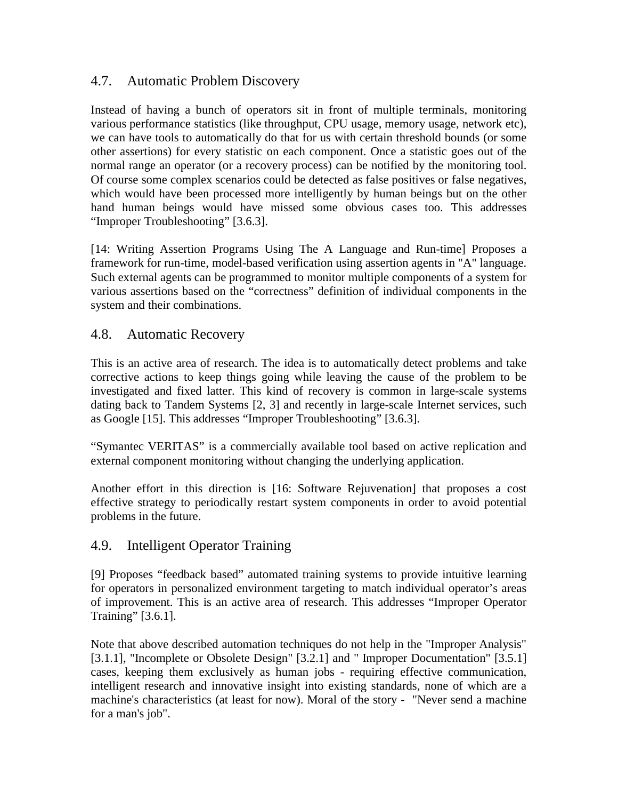## 4.7. Automatic Problem Discovery

Instead of having a bunch of operators sit in front of multiple terminals, monitoring various performance statistics (like throughput, CPU usage, memory usage, network etc), we can have tools to automatically do that for us with certain threshold bounds (or some other assertions) for every statistic on each component. Once a statistic goes out of the normal range an operator (or a recovery process) can be notified by the monitoring tool. Of course some complex scenarios could be detected as false positives or false negatives, which would have been processed more intelligently by human beings but on the other hand human beings would have missed some obvious cases too. This addresses "Improper Troubleshooting" [3.6.3].

[14: Writing Assertion Programs Using The A Language and Run-time] Proposes a framework for run-time, model-based verification using assertion agents in "A" language. Such external agents can be programmed to monitor multiple components of a system for various assertions based on the "correctness" definition of individual components in the system and their combinations.

## 4.8. Automatic Recovery

This is an active area of research. The idea is to automatically detect problems and take corrective actions to keep things going while leaving the cause of the problem to be investigated and fixed latter. This kind of recovery is common in large-scale systems dating back to Tandem Systems [2, 3] and recently in large-scale Internet services, such as Google [15]. This addresses "Improper Troubleshooting" [3.6.3].

"Symantec VERITAS" is a commercially available tool based on active replication and external component monitoring without changing the underlying application.

Another effort in this direction is [16: Software Rejuvenation] that proposes a cost effective strategy to periodically restart system components in order to avoid potential problems in the future.

## 4.9. Intelligent Operator Training

[9] Proposes "feedback based" automated training systems to provide intuitive learning for operators in personalized environment targeting to match individual operator's areas of improvement. This is an active area of research. This addresses "Improper Operator Training" [3.6.1].

Note that above described automation techniques do not help in the "Improper Analysis" [3.1.1], "Incomplete or Obsolete Design" [3.2.1] and " Improper Documentation" [3.5.1] cases, keeping them exclusively as human jobs - requiring effective communication, intelligent research and innovative insight into existing standards, none of which are a machine's characteristics (at least for now). Moral of the story - "Never send a machine for a man's job".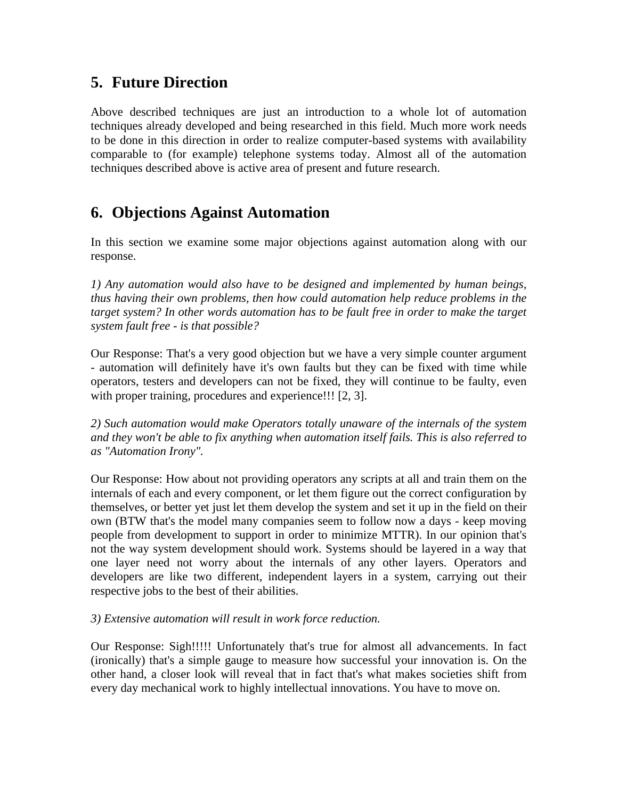## **5. Future Direction**

Above described techniques are just an introduction to a whole lot of automation techniques already developed and being researched in this field. Much more work needs to be done in this direction in order to realize computer-based systems with availability comparable to (for example) telephone systems today. Almost all of the automation techniques described above is active area of present and future research.

## **6. Objections Against Automation**

In this section we examine some major objections against automation along with our response.

*1) Any automation would also have to be designed and implemented by human beings, thus having their own problems, then how could automation help reduce problems in the target system? In other words automation has to be fault free in order to make the target system fault free - is that possible?* 

Our Response: That's a very good objection but we have a very simple counter argument - automation will definitely have it's own faults but they can be fixed with time while operators, testers and developers can not be fixed, they will continue to be faulty, even with proper training, procedures and experience!!! [2, 3].

*2) Such automation would make Operators totally unaware of the internals of the system and they won't be able to fix anything when automation itself fails. This is also referred to as "Automation Irony".*

Our Response: How about not providing operators any scripts at all and train them on the internals of each and every component, or let them figure out the correct configuration by themselves, or better yet just let them develop the system and set it up in the field on their own (BTW that's the model many companies seem to follow now a days - keep moving people from development to support in order to minimize MTTR). In our opinion that's not the way system development should work. Systems should be layered in a way that one layer need not worry about the internals of any other layers. Operators and developers are like two different, independent layers in a system, carrying out their respective jobs to the best of their abilities.

#### *3) Extensive automation will result in work force reduction.*

Our Response: Sigh!!!!! Unfortunately that's true for almost all advancements. In fact (ironically) that's a simple gauge to measure how successful your innovation is. On the other hand, a closer look will reveal that in fact that's what makes societies shift from every day mechanical work to highly intellectual innovations. You have to move on.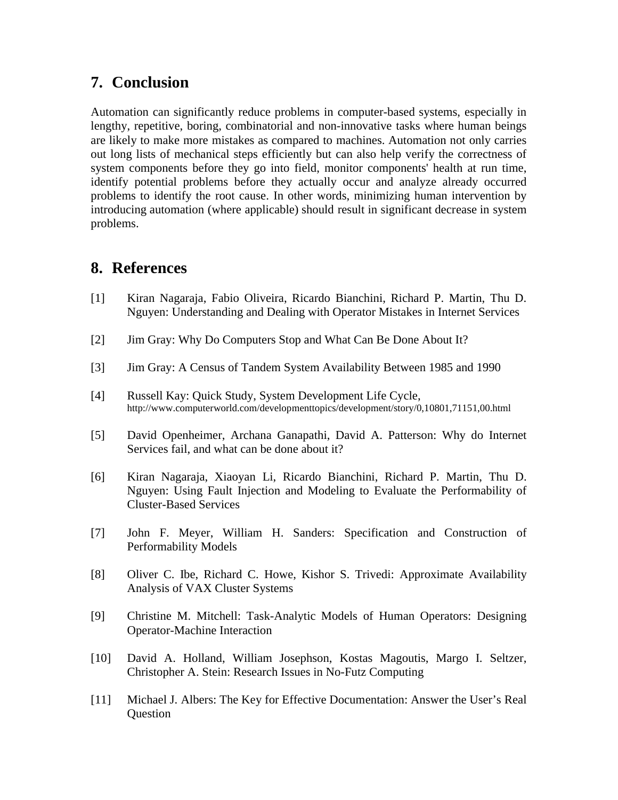## **7. Conclusion**

Automation can significantly reduce problems in computer-based systems, especially in lengthy, repetitive, boring, combinatorial and non-innovative tasks where human beings are likely to make more mistakes as compared to machines. Automation not only carries out long lists of mechanical steps efficiently but can also help verify the correctness of system components before they go into field, monitor components' health at run time, identify potential problems before they actually occur and analyze already occurred problems to identify the root cause. In other words, minimizing human intervention by introducing automation (where applicable) should result in significant decrease in system problems.

## **8. References**

- [1] Kiran Nagaraja, Fabio Oliveira, Ricardo Bianchini, Richard P. Martin, Thu D. Nguyen: Understanding and Dealing with Operator Mistakes in Internet Services
- [2] Jim Gray: Why Do Computers Stop and What Can Be Done About It?
- [3] Jim Gray: A Census of Tandem System Availability Between 1985 and 1990
- [4] Russell Kay: Quick Study, System Development Life Cycle, http://www.computerworld.com/developmenttopics/development/story/0,10801,71151,00.html
- [5] David Openheimer, Archana Ganapathi, David A. Patterson: Why do Internet Services fail, and what can be done about it?
- [6] Kiran Nagaraja, Xiaoyan Li, Ricardo Bianchini, Richard P. Martin, Thu D. Nguyen: Using Fault Injection and Modeling to Evaluate the Performability of Cluster-Based Services
- [7] John F. Meyer, William H. Sanders: Specification and Construction of Performability Models
- [8] Oliver C. Ibe, Richard C. Howe, Kishor S. Trivedi: Approximate Availability Analysis of VAX Cluster Systems
- [9] Christine M. Mitchell: Task-Analytic Models of Human Operators: Designing Operator-Machine Interaction
- [10] David A. Holland, William Josephson, Kostas Magoutis, Margo I. Seltzer, Christopher A. Stein: Research Issues in No-Futz Computing
- [11] Michael J. Albers: The Key for Effective Documentation: Answer the User's Real **Ouestion**